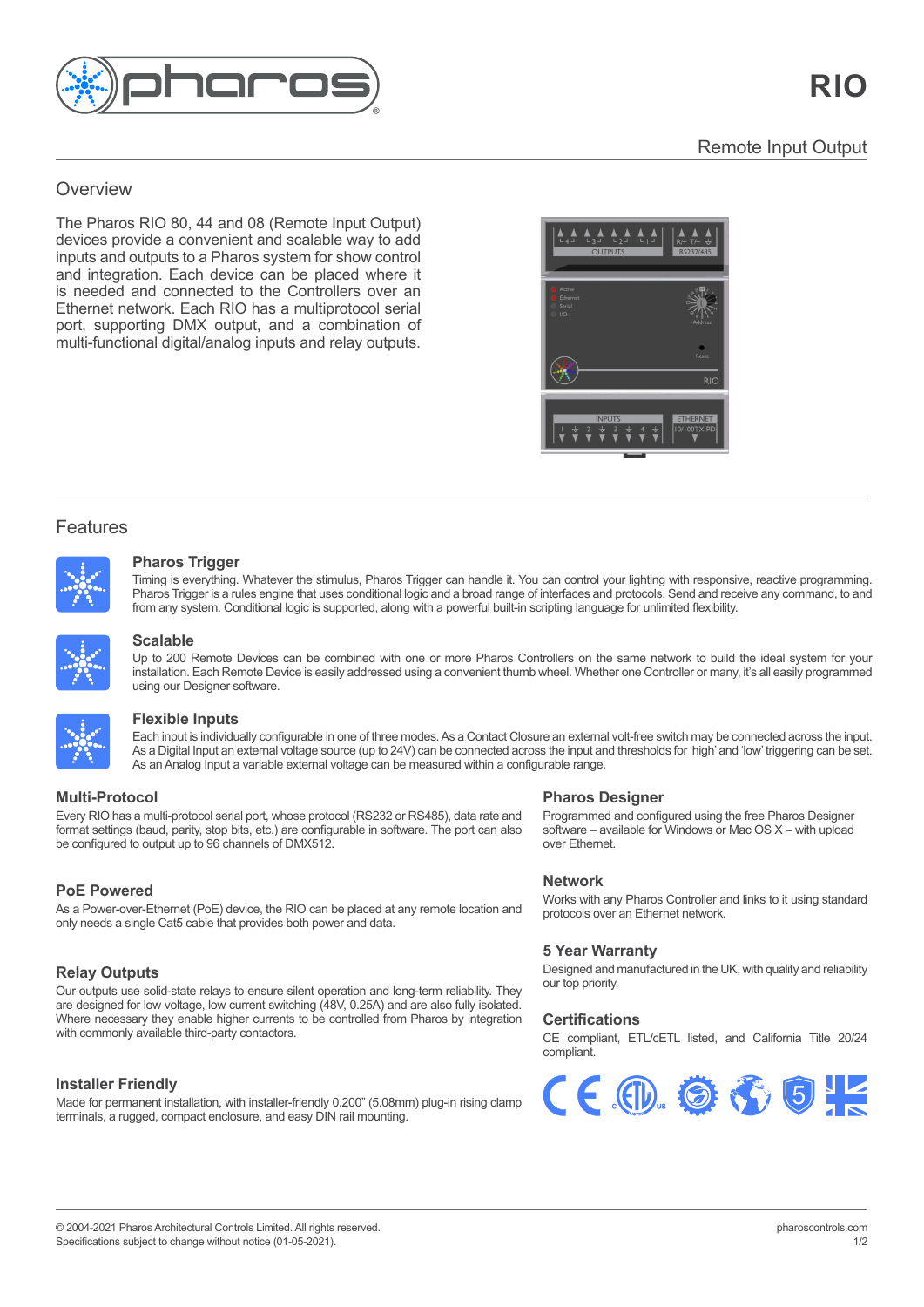

## $T_{\rm eff}$  (Lighting Player) is  $T_{\rm eff}$  in  $P_{\rm eff}$ Overview enterprise control solution for control solution for control solution for control solution for control solution for control solution for control solution for control solution for control solution for control solut

The Pharos RIO 80, 44 and 08 (Remote Input Output) devices provide a convenient and scalable way to add inputs and outputs to a Pharos system for show control and integration. Each device can be placed where it is needed and connected to the Controllers over an needed and control and controllers over the Controllers over the Controllers over the Controllers over the Controllers over the Controllers over the Controllers over the Controllers over the Controllers over the Controller Ethernet network. Each Rite has a malippeteen eshare<br>port, supporting DMX output, and a combination of multi-functional digital/analog inputs and relay outputs. pporting DMX output, and a commitment



## Features

Features and the second



### real-time manual overrides, flexible multi-zone control, prioritisation and more. **Pharos Trigger** Pharos Trigger is a rules engine that uses conditional logic and a broad range of interfaces and protocols. Send and receive any command, to

Thring is everyunng. Whatever the surfidius, Friaros Trigger Carl Handle it. Tod Carl Contor your lighting with responsive, reactive programming.<br>Pharos Trigger is a rules engine that uses conditional logic and a broad ran from any system. Conditional logic is supported, along with a powerful built-in scripting language for unlimited flexibility from any system. Conditional logic is supported, along with a powerful built-in scripting language for unlimited flexibility. Timing is everything. Whatever the stimulus, Pharos Trigger can handle it. You can control your lighting with responsive, reactive programming.



#### Multiple maps can be created to support different zones or for modelling different views of your installation. **Scalable** installation. Each Remote Device is easily addressed using a convenient thumb wheel. Whether one Controller or many, it's all easily

**Pharos 200 Remote** I<br>Installation Foob Dow installation. Each Remote Device is easily addressed using a convenient thumb wheel. Whether one Controller or many, it's all easily programmed<br>Using our Designer software Pharos Trigger is a rules engine that uses conditional logic and a broad range of interfaces and protocols. Send and receive any command, to Up to 200 Remote Devices can be combined with one or more Pharos Controllers on the same network to build the ideal system for your using our Designer software. programmed using our Designer software. The contract of  $\mathcal{L}$ If Designer soliware. As a Contact Closure and three modes modes with may be connected across three switch may be connected across the connected across the connected across the connected across the connected across the con



### and from any system. Conditional logic is supported, along with a powerful built-in scripting language for unlimited flexibility. **Flexible Inputs** and Analog Input a variable external voltage can be measured with a configurable range. The measured within a configurable range. The measured within a configurable range. The measured with a configurable

As an Analog Input a variable external voltage can be measured within a configurable range. together to work as one via a standard Ethernet network giving impressive scalability. For **Pharmal intervaluating configurable in one of the enfodes. As a contact closure an external voltage source included across the input and thresholds for 'high' and 'low' triggering can be set. As a Digital Input an externa** software – available for Windows or Mac OS X – with upload Each input is individually configurable in one of three modes. As a Contact Closure an external volt-free switch may be connected across the input.

# add Remote Devices to further extend the network. The network. The network of DMX512. The network of DMX512. The network. The network of DMX512. The network of DMX512. The network of DMX512. The network of DMX512. The net

Whether one Controller or many  $\alpha$ format settings (baud, parity, stop bits, etc.) are configurable in software. The port can also<br>he configured to extruit up to <u>06 channels of DM</u>V542 be configured to output up to 96 channels of DMX512. Every RIO has a multi-protocol serial port, whose protocol (RS232 or RS485), data rate and **Postocol State**<br>Formalism and control of the anti-protocol serial power of the control of the control of the control of the con

#### protocols at the same time. No other system gives you this level of flexibility and control **PoE Powered** Our outputs use solid-state relays to ensure silent operation and long-term reliability. They

only needs a single Cat5 cable that provides both power and data. As a Power-over-Ethernet (PoE) device, the RIO can be placed at any remote location and

### $\blacksquare$  **Relay Outputs**  $\mathcal{L}$  permanent installation, with installation, with installer-friendly  $\mathcal{L}$

Our outputs use solid-state relays to ensure silent operation and long-term reliability. They **Custom Interfaces** Where necessary they enable higher currents to be controlled from Pharos by integration with commonly available third-party contactors. are designed for low voltage, low current switching (48V, 0.25A) and are also fully isolated.

### **Installer Friendly**

Made for permanent installation, with installer-friendly 0.200" (5.08mm) plug-in rising clamp terminals, a rugged, compact enclosure, and easy DIN rail mounting.

# **Over Ethernet.** Protocol **Pharos Designer**

**Programmed and configured using the free Pharos Designer** software – available for Windows or Mac OS X – with upload<br>Over Ethernet  $\sigma$  left on site. Rugged, compact unit designed for  $24/77$ over Ethernet.

# **Network**

**Tect Friends**<br>Works with any Pharos Controller and links to it using standard protocols over an Ethernet network.

# **5 Year Warranty**

Designed and manufactured in the UK, with quality and Designed and manufactured in the UK, with quality and reliability our top priority.

## **Certifications Certifications**

CE compliant, ETL/cETL listed, and California Title 20/24 CE compliant, ETL/cETL listed, and California Title 20/24 compliant. compliant.